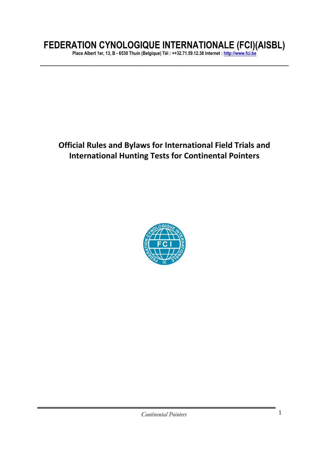# **FEDERATION CYNOLOGIQUE INTERNATIONALE (FCI)(AISBL)**

**Place Albert 1er, 13, B - 6530 Thuin (Belgique) Tél : ++32.71.59.12.38 Internet : [http://www.fci.be](http://www.fci.be/)**  $\overline{\phantom{a}}$  , and the contract of the contract of the contract of the contract of the contract of the contract of the contract of the contract of the contract of the contract of the contract of the contract of the contrac

# **Official Rules and Bylaws for International Field Trials and International Hunting Tests for Continental Pointers**

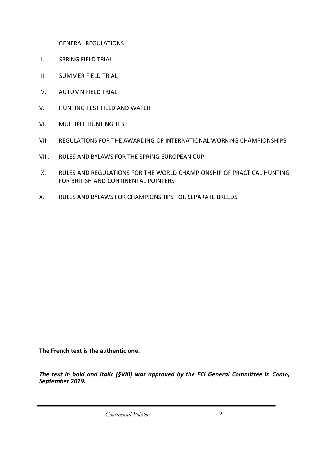- I. GENERAL REGULATIONS
- II. SPRING FIELD TRIAL
- III. SUMMER FIELD TRIAL
- IV. AUTUMN FIELD TRIAL
- V. HUNTING TEST FIELD AND WATER
- VI. MULTIPLE HUNTING TEST
- VII. REGULATIONS FOR THE AWARDING OF INTERNATIONAL WORKING CHAMPIONSHIPS
- VIII. RULES AND BYLAWS FOR THE SPRING EUROPEAN CUP
- IX. RULES AND REGULATIONS FOR THE WORLD CHAMPIONSHIP OF PRACTICAL HUNTING FOR BRITISH AND CONTINENTAL POINTERS
- X. RULES AND BYLAWS FOR CHAMPIONSHIPS FOR SEPARATE BREEDS

**The French text is the authentic one.** 

*The text in bold and italic (§VIII) was approved by the FCI General Committee in Como, September 2019.* 

*Continental Pointers* 2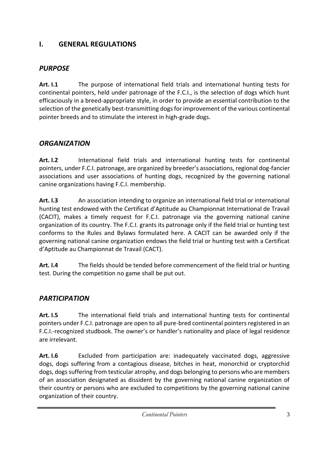# **I. GENERAL REGULATIONS**

# *PURPOSE*

**Art. I.1** The purpose of international field trials and international hunting tests for continental pointers, held under patronage of the F.C.I., is the selection of dogs which hunt efficaciously in a breed-appropriate style, in order to provide an essential contribution to the selection of the genetically best-transmitting dogs for improvement of the various continental pointer breeds and to stimulate the interest in high-grade dogs.

# *ORGANIZATION*

**Art. I.2** International field trials and international hunting tests for continental pointers, under F.C.I. patronage, are organized by breeder's associations, regional dog-fancier associations and user associations of hunting dogs, recognized by the governing national canine organizations having F.C.I. membership.

**Art. I.3** An association intending to organize an international field trial or international hunting test endowed with the Certificat d'Aptitude au Championnat International de Travail (CACIT), makes a timely request for F.C.I. patronage via the governing national canine organization of its country. The F.C.I. grants its patronage only if the field trial or hunting test conforms to the Rules and Bylaws formulated here. A CACIT can be awarded only if the governing national canine organization endows the field trial or hunting test with a Certificat d'Aptitude au Championnat de Travail (CACT).

**Art. I.4** The fields should be tended before commencement of the field trial or hunting test. During the competition no game shall be put out.

# *PARTICIPATION*

**Art. I.5** The international field trials and international hunting tests for continental pointers under F.C.I. patronage are open to all pure-bred continental pointers registered in an F.C.I.-recognized studbook. The owner's or handler's nationality and place of legal residence are irrelevant.

**Art. I.6** Excluded from participation are: inadequately vaccinated dogs, aggressive dogs, dogs suffering from a contagious disease, bitches in heat, monorchid or cryptorchid dogs, dogs suffering from testicular atrophy, and dogs belonging to persons who are members of an association designated as dissident by the governing national canine organization of their country or persons who are excluded to competitions by the governing national canine organization of their country.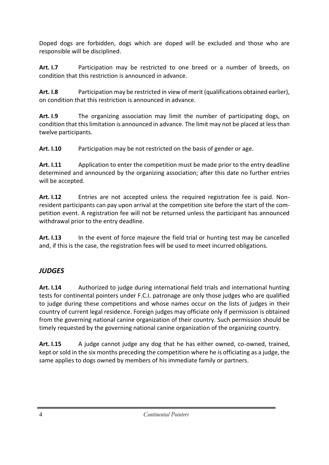Doped dogs are forbidden, dogs which are doped will be excluded and those who are responsible will be disciplined.

**Art. I.7** Participation may be restricted to one breed or a number of breeds, on condition that this restriction is announced in advance.

**Art. I.8** Participation may be restricted in view of merit (qualifications obtained earlier), on condition that this restriction is announced in advance.

**Art. I.9** The organizing association may limit the number of participating dogs, on condition that this limitation is announced in advance. The limit may not be placed at less than twelve participants.

**Art. I.10** Participation may be not restricted on the basis of gender or age.

**Art. I.11** Application to enter the competition must be made prior to the entry deadline determined and announced by the organizing association; after this date no further entries will be accepted.

**Art. I.12** Entries are not accepted unless the required registration fee is paid. Nonresident participants can pay upon arrival at the competition site before the start of the competition event. A registration fee will not be returned unless the participant has announced withdrawal prior to the entry deadline.

**Art. I.13** In the event of force majeure the field trial or hunting test may be cancelled and, if this is the case, the registration fees will be used to meet incurred obligations.

# *JUDGES*

**Art. I.14** Authorized to judge during international field trials and international hunting tests for continental pointers under F.C.I. patronage are only those judges who are qualified to judge during these competitions and whose names occur on the lists of judges in their country of current legal residence. Foreign judges may officiate only if permission is obtained from the governing national canine organization of their country. Such permission should be timely requested by the governing national canine organization of the organizing country.

**Art. I.15** A judge cannot judge any dog that he has either owned, co-owned, trained, kept or sold in the six months preceding the competition where he is officiating as a judge, the same applies to dogs owned by members of his immediate family or partners.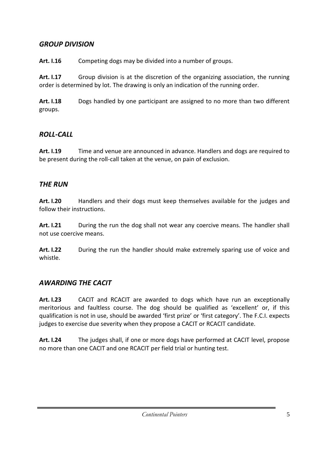### *GROUP DIVISION*

**Art. I.16** Competing dogs may be divided into a number of groups.

**Art. I.17** Group division is at the discretion of the organizing association, the running order is determined by lot. The drawing is only an indication of the running order.

**Art. I.18** Dogs handled by one participant are assigned to no more than two different groups.

# *ROLL-CALL*

**Art. I.19** Time and venue are announced in advance. Handlers and dogs are required to be present during the roll-call taken at the venue, on pain of exclusion.

# *THE RUN*

**Art. I.20** Handlers and their dogs must keep themselves available for the judges and follow their instructions.

**Art. I.21** During the run the dog shall not wear any coercive means. The handler shall not use coercive means.

**Art. I.22** During the run the handler should make extremely sparing use of voice and whistle.

## *AWARDING THE CACIT*

**Art. I.23** CACIT and RCACIT are awarded to dogs which have run an exceptionally meritorious and faultless course. The dog should be qualified as 'excellent' or, if this qualification is not in use, should be awarded 'first prize' or 'first category'. The F.C.I. expects judges to exercise due severity when they propose a CACIT or RCACIT candidate.

**Art. I.24** The judges shall, if one or more dogs have performed at CACIT level, propose no more than one CACIT and one RCACIT per field trial or hunting test.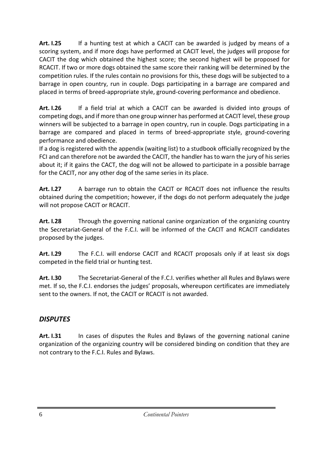**Art. I.25** If a hunting test at which a CACIT can be awarded is judged by means of a scoring system, and if more dogs have performed at CACIT level, the judges will propose for CACIT the dog which obtained the highest score; the second highest will be proposed for RCACIT. If two or more dogs obtained the same score their ranking will be determined by the competition rules. If the rules contain no provisions for this, these dogs will be subjected to a barrage in open country, run in couple. Dogs participating in a barrage are compared and placed in terms of breed-appropriate style, ground-covering performance and obedience.

**Art. I.26** If a field trial at which a CACIT can be awarded is divided into groups of competing dogs, and if more than one group winner has performed at CACIT level, these group winners will be subjected to a barrage in open country, run in couple. Dogs participating in a barrage are compared and placed in terms of breed-appropriate style, ground-covering performance and obedience.

If a dog is registered with the appendix (waiting list) to a studbook officially recognized by the FCI and can therefore not be awarded the CACIT, the handler has to warn the jury of his series about it; if it gains the CACT, the dog will not be allowed to participate in a possible barrage for the CACIT, nor any other dog of the same series in its place.

**Art. I.27** A barrage run to obtain the CACIT or RCACIT does not influence the results obtained during the competition; however, if the dogs do not perform adequately the judge will not propose CACIT or RCACIT.

**Art. I***.***28** Through the governing national canine organization of the organizing country the Secretariat-General of the F.C.I. will be informed of the CACIT and RCACIT candidates proposed by the judges.

**Art. I.29** The F.C.I. will endorse CACIT and RCACIT proposals only if at least six dogs competed in the field trial or hunting test.

**Art. I.30** The Secretariat-General of the F.C.I. verifies whether all Rules and Bylaws were met. If so, the F.C.I. endorses the judges' proposals, whereupon certificates are immediately sent to the owners. If not, the CACIT or RCACIT is not awarded.

## *DISPUTES*

**Art. I.31** In cases of disputes the Rules and Bylaws of the governing national canine organization of the organizing country will be considered binding on condition that they are not contrary to the F.C.I. Rules and Bylaws.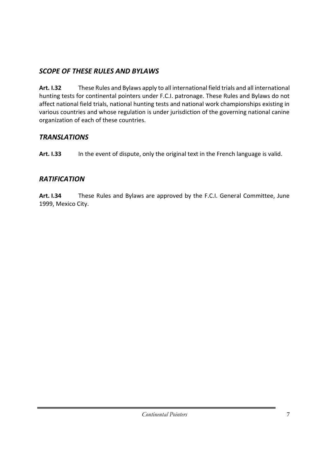# *SCOPE OF THESE RULES AND BYLAWS*

**Art. I.32** These Rules and Bylaws apply to all international field trials and all international hunting tests for continental pointers under F.C.I. patronage. These Rules and Bylaws do not affect national field trials, national hunting tests and national work championships existing in various countries and whose regulation is under jurisdiction of the governing national canine organization of each of these countries.

# *TRANSLATIONS*

Art. 1.33 In the event of dispute, only the original text in the French language is valid.

# *RATIFICATION*

**Art. I.34** These Rules and Bylaws are approved by the F.C.I. General Committee, June 1999, Mexico City.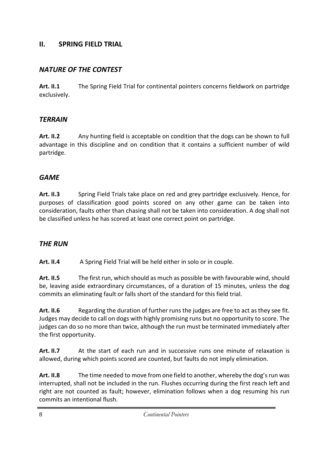#### **II. SPRING FIELD TRIAL**

## *NATURE OF THE CONTEST*

**Art. II.1** The Spring Field Trial for continental pointers concerns fieldwork on partridge exclusively.

### *TERRAIN*

**Art. II.2** Any hunting field is acceptable on condition that the dogs can be shown to full advantage in this discipline and on condition that it contains a sufficient number of wild partridge.

## *GAME*

Art. II.3 Spring Field Trials take place on red and grey partridge exclusively. Hence, for purposes of classification good points scored on any other game can be taken into consideration, faults other than chasing shall not be taken into consideration. A dog shall not be classified unless he has scored at least one correct point on partridge.

## *THE RUN*

Art. II.4 A Spring Field Trial will be held either in solo or in couple.

**Art. II.5** The first run, which should as much as possible be with favourable wind, should be, leaving aside extraordinary circumstances, of a duration of 15 minutes, unless the dog commits an eliminating fault or falls short of the standard for this field trial.

Art. II.6 Regarding the duration of further runs the judges are free to act as they see fit. Judges may decide to call on dogs with highly promising runs but no opportunity to score. The judges can do so no more than twice, although the run must be terminated immediately after the first opportunity.

**Art. II.7** At the start of each run and in successive runs one minute of relaxation is allowed, during which points scored are counted, but faults do not imply elimination.

**Art. II.8** The time needed to move from one field to another, whereby the dog's run was interrupted, shall not be included in the run. Flushes occurring during the first reach left and right are not counted as fault; however, elimination follows when a dog resuming his run commits an intentional flush.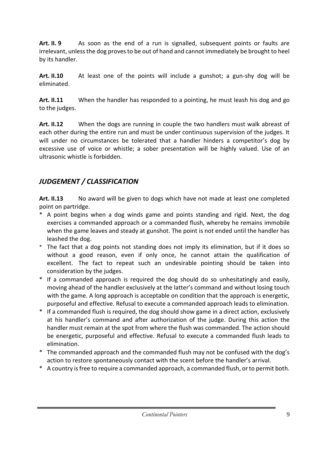**Art. II. 9** As soon as the end of a run is signalled, subsequent points or faults are irrelevant, unless the dog proves to be out of hand and cannot immediately be brought to heel by its handler.

**Art. II.10** At least one of the points will include a gunshot; a gun-shy dog will be eliminated.

**Art. II.11** When the handler has responded to a pointing, he must leash his dog and go to the judges.

**Art. II.12** When the dogs are running in couple the two handlers must walk abreast of each other during the entire run and must be under continuous supervision of the judges. It will under no circumstances be tolerated that a handler hinders a competitor's dog by excessive use of voice or whistle; a sober presentation will be highly valued. Use of an ultrasonic whistle is forbidden.

# *JUDGEMENT / CLASSIFICATION*

**Art. II.13** No award will be given to dogs which have not made at least one completed point on partridge.

- \* A point begins when a dog winds game and points standing and rigid. Next, the dog exercises a commanded approach or a commanded flush, whereby he remains immobile when the game leaves and steady at gunshot. The point is not ended until the handler has leashed the dog.
- The fact that a dog points not standing does not imply its elimination, but if it does so without a good reason, even if only once, he cannot attain the qualification of excellent. The fact to repeat such an undesirable pointing should be taken into consideration by the judges.
- \* If a commanded approach is required the dog should do so unhesitatingly and easily, moving ahead of the handler exclusively at the latter's command and without losing touch with the game. A long approach is acceptable on condition that the approach is energetic, purposeful and effective. Refusal to execute a commanded approach leads to elimination.
- \* If a commanded flush is required, the dog should show game in a direct action, exclusively at his handler's command and after authorization of the judge. During this action the handler must remain at the spot from where the flush was commanded. The action should be energetic, purposeful and effective. Refusal to execute a commanded flush leads to elimination.
- \* The commanded approach and the commanded flush may not be confused with the dog's action to restore spontaneously contact with the scent before the handler's arrival.
- \* A country is free to require a commanded approach, a commanded flush, or to permit both.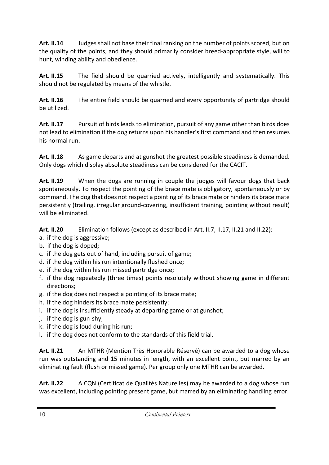**Art. II.14** Judges shall not base their final ranking on the number of points scored, but on the quality of the points, and they should primarily consider breed-appropriate style, will to hunt, winding ability and obedience.

**Art. II.15** The field should be quarried actively, intelligently and systematically. This should not be regulated by means of the whistle.

**Art. II.16** The entire field should be quarried and every opportunity of partridge should be utilized.

Art. II.17 Pursuit of birds leads to elimination, pursuit of any game other than birds does not lead to elimination if the dog returns upon his handler's first command and then resumes his normal run.

Art. II.18 As game departs and at gunshot the greatest possible steadiness is demanded. Only dogs which display absolute steadiness can be considered for the CACIT.

**Art. II.19** When the dogs are running in couple the judges will favour dogs that back spontaneously. To respect the pointing of the brace mate is obligatory, spontaneously or by command. The dog that does not respect a pointing of its brace mate or hinders its brace mate persistently (trailing, irregular ground-covering, insufficient training, pointing without result) will be eliminated.

**Art. II.20** Elimination follows (except as described in Art. II.7, II.17, II.21 and II.22):

- a. if the dog is aggressive;
- b. if the dog is doped;
- c. if the dog gets out of hand, including pursuit of game;
- d. if the dog within his run intentionally flushed once;
- e. if the dog within his run missed partridge once;
- f. if the dog repeatedly (three times) points resolutely without showing game in different directions;
- g. if the dog does not respect a pointing of its brace mate;
- h. if the dog hinders its brace mate persistently;
- i. if the dog is insufficiently steady at departing game or at gunshot;
- j. if the dog is gun-shy;
- k. if the dog is loud during his run;
- l. if the dog does not conform to the standards of this field trial.

**Art. II.21** An MTHR (Mention Très Honorable Réservé) can be awarded to a dog whose run was outstanding and 15 minutes in length, with an excellent point, but marred by an eliminating fault (flush or missed game). Per group only one MTHR can be awarded.

Art. II.22 A CQN (Certificat de Qualités Naturelles) may be awarded to a dog whose run was excellent, including pointing present game, but marred by an eliminating handling error.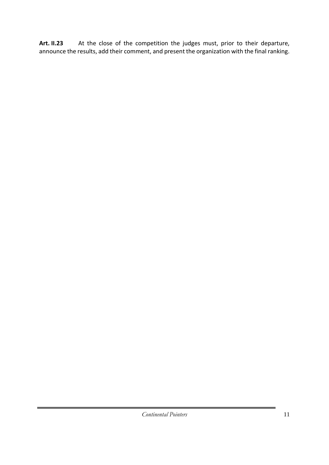Art. II.23 At the close of the competition the judges must, prior to their departure, announce the results, add their comment, and present the organization with the final ranking.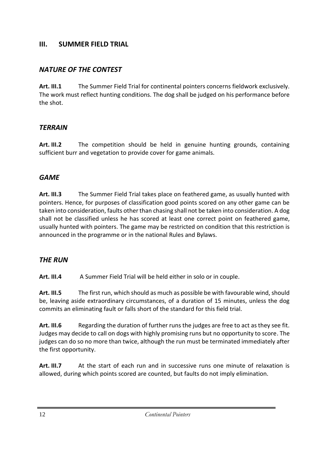#### **III. SUMMER FIELD TRIAL**

## *NATURE OF THE CONTEST*

**Art. III.1** The Summer Field Trial for continental pointers concerns fieldwork exclusively. The work must reflect hunting conditions. The dog shall be judged on his performance before the shot.

### *TERRAIN*

**Art. III.2** The competition should be held in genuine hunting grounds, containing sufficient burr and vegetation to provide cover for game animals.

## *GAME*

**Art. III.3** The Summer Field Trial takes place on feathered game, as usually hunted with pointers. Hence, for purposes of classification good points scored on any other game can be taken into consideration, faults other than chasing shall not be taken into consideration. A dog shall not be classified unless he has scored at least one correct point on feathered game, usually hunted with pointers. The game may be restricted on condition that this restriction is announced in the programme or in the national Rules and Bylaws.

## *THE RUN*

**Art. III.4** A Summer Field Trial will be held either in solo or in couple.

**Art. III.5** The first run, which should as much as possible be with favourable wind, should be, leaving aside extraordinary circumstances, of a duration of 15 minutes, unless the dog commits an eliminating fault or falls short of the standard for this field trial.

**Art. III.6** Regarding the duration of further runs the judges are free to act as they see fit. Judges may decide to call on dogs with highly promising runs but no opportunity to score. The judges can do so no more than twice, although the run must be terminated immediately after the first opportunity.

**Art. III.7** At the start of each run and in successive runs one minute of relaxation is allowed, during which points scored are counted, but faults do not imply elimination.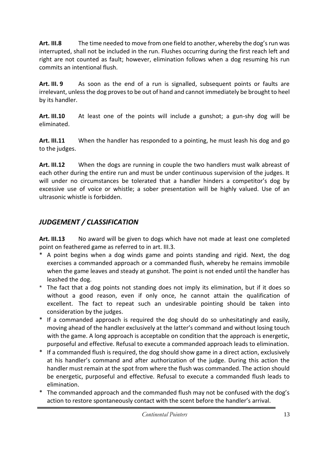**Art. III.8** The time needed to move from one field to another, whereby the dog's run was interrupted, shall not be included in the run. Flushes occurring during the first reach left and right are not counted as fault; however, elimination follows when a dog resuming his run commits an intentional flush.

**Art. III. 9** As soon as the end of a run is signalled, subsequent points or faults are irrelevant, unless the dog proves to be out of hand and cannot immediately be brought to heel by its handler.

**Art. III.10** At least one of the points will include a gunshot; a gun-shy dog will be eliminated.

**Art. III.11** When the handler has responded to a pointing, he must leash his dog and go to the judges.

**Art. III.12** When the dogs are running in couple the two handlers must walk abreast of each other during the entire run and must be under continuous supervision of the judges. It will under no circumstances be tolerated that a handler hinders a competitor's dog by excessive use of voice or whistle; a sober presentation will be highly valued. Use of an ultrasonic whistle is forbidden.

# *JUDGEMENT / CLASSIFICATION*

**Art. III.13** No award will be given to dogs which have not made at least one completed point on feathered game as referred to in art. III.3.

- \* A point begins when a dog winds game and points standing and rigid*.* Next, the dog exercises a commanded approach or a commanded flush, whereby he remains immobile when the game leaves and steady at gunshot. The point is not ended until the handler has leashed the dog.
- *\** The fact that a dog points not standing does not imply its elimination, but if it does so without a good reason, even if only once, he cannot attain the qualification of excellent. The fact to repeat such an undesirable pointing should be taken into consideration by the judges.
- \* If a commanded approach is required the dog should do so unhesitatingly and easily, moving ahead of the handler exclusively at the latter's command and without losing touch with the game. A long approach is acceptable on condition that the approach is energetic, purposeful and effective. Refusal to execute a commanded approach leads to elimination.
- \* If a commanded flush is required, the dog should show game in a direct action, exclusively at his handler's command and after authorization of the judge. During this action the handler must remain at the spot from where the flush was commanded. The action should be energetic, purposeful and effective. Refusal to execute a commanded flush leads to elimination.
- \* The commanded approach and the commanded flush may not be confused with the dog's action to restore spontaneously contact with the scent before the handler's arrival.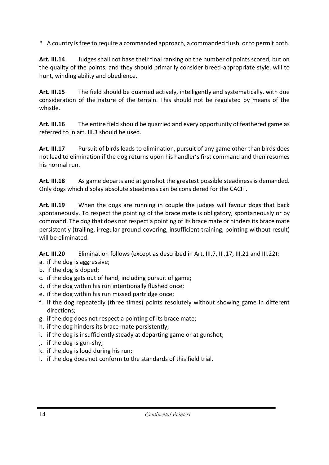\* A country is free to require a commanded approach, a commanded flush, or to permit both.

**Art. III.14** Judges shall not base their final ranking on the number of points scored, but on the quality of the points, and they should primarily consider breed-appropriate style, will to hunt, winding ability and obedience.

**Art. III.15** The field should be quarried actively, intelligently and systematically. with due consideration of the nature of the terrain. This should not be regulated by means of the whistle.

**Art. III.16** The entire field should be quarried and every opportunity of feathered game as referred to in art. III.3 should be used.

**Art. III.17** Pursuit of birds leads to elimination, pursuit of any game other than birds does not lead to elimination if the dog returns upon his handler's first command and then resumes his normal run.

Art. III.18 As game departs and at gunshot the greatest possible steadiness is demanded. Only dogs which display absolute steadiness can be considered for the CACIT.

**Art. III.19** When the dogs are running in couple the judges will favour dogs that back spontaneously. To respect the pointing of the brace mate is obligatory, spontaneously or by command. The dog that does not respect a pointing of its brace mate or hinders its brace mate persistently (trailing, irregular ground-covering, insufficient training, pointing without result) will be eliminated.

**Art. III.20** Elimination follows (except as described in Art. III.7, III.17, III.21 and III.22):

- a. if the dog is aggressive;
- b. if the dog is doped;
- c. if the dog gets out of hand, including pursuit of game;
- d. if the dog within his run intentionally flushed once;
- e. if the dog within his run missed partridge once;
- f. if the dog repeatedly (three times) points resolutely without showing game in different directions;
- g. if the dog does not respect a pointing of its brace mate;
- h. if the dog hinders its brace mate persistently;
- i. if the dog is insufficiently steady at departing game or at gunshot;
- j. if the dog is gun-shy;
- k. if the dog is loud during his run;
- l. if the dog does not conform to the standards of this field trial.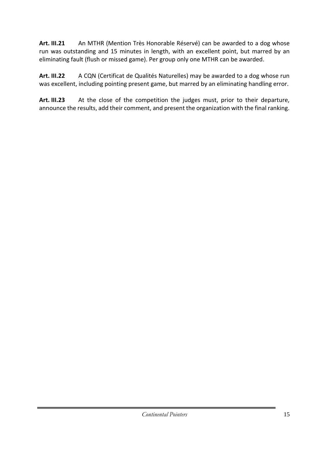**Art. III.21** An MTHR (Mention Très Honorable Réservé) can be awarded to a dog whose run was outstanding and 15 minutes in length, with an excellent point, but marred by an eliminating fault (flush or missed game). Per group only one MTHR can be awarded.

**Art. III.22** A CQN (Certificat de Qualités Naturelles) may be awarded to a dog whose run was excellent, including pointing present game, but marred by an eliminating handling error.

Art. III.23 At the close of the competition the judges must, prior to their departure, announce the results, add their comment, and present the organization with the final ranking.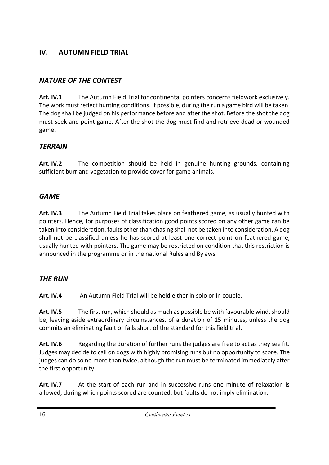# **IV. AUTUMN FIELD TRIAL**

# *NATURE OF THE CONTEST*

**Art. IV.1** The Autumn Field Trial for continental pointers concerns fieldwork exclusively. The work must reflect hunting conditions. If possible, during the run a game bird will be taken. The dog shall be judged on his performance before and after the shot. Before the shot the dog must seek and point game. After the shot the dog must find and retrieve dead or wounded game.

## *TERRAIN*

**Art. IV.2** The competition should be held in genuine hunting grounds, containing sufficient burr and vegetation to provide cover for game animals.

## *GAME*

**Art. IV.3** The Autumn Field Trial takes place on feathered game, as usually hunted with pointers. Hence, for purposes of classification good points scored on any other game can be taken into consideration, faults other than chasing shall not be taken into consideration. A dog shall not be classified unless he has scored at least one correct point on feathered game, usually hunted with pointers. The game may be restricted on condition that this restriction is announced in the programme or in the national Rules and Bylaws.

## *THE RUN*

Art. IV.4 An Autumn Field Trial will be held either in solo or in couple.

**Art. IV.5** The first run, which should as much as possible be with favourable wind, should be, leaving aside extraordinary circumstances, of a duration of 15 minutes, unless the dog commits an eliminating fault or falls short of the standard for this field trial.

Art. IV.6 Regarding the duration of further runs the judges are free to act as they see fit. Judges may decide to call on dogs with highly promising runs but no opportunity to score. The judges can do so no more than twice, although the run must be terminated immediately after the first opportunity.

**Art. IV.7** At the start of each run and in successive runs one minute of relaxation is allowed, during which points scored are counted, but faults do not imply elimination.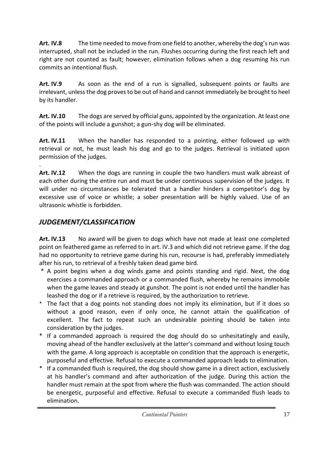**Art. IV.8** The time needed to move from one field to another, whereby the dog's run was interrupted, shall not be included in the run. Flushes occurring during the first reach left and right are not counted as fault; however, elimination follows when a dog resuming his run commits an intentional flush.

**Art. IV.9** As soon as the end of a run is signalled, subsequent points or faults are irrelevant, unless the dog proves to be out of hand and cannot immediately be brought to heel by its handler.

**Art. IV.10** The dogs are served by official guns, appointed by the organization. At least one of the points will include a gunshot; a gun-shy dog will be eliminated.

**Art. IV.11** When the handler has responded to a pointing, either followed up with retrieval or not, he must leash his dog and go to the judges. Retrieval is initiated upon permission of the judges.

. **Art. IV.12** When the dogs are running in couple the two handlers must walk abreast of each other during the entire run and must be under continuous supervision of the judges. It will under no circumstances be tolerated that a handler hinders a competitor's dog by excessive use of voice or whistle; a sober presentation will be highly valued. Use of an ultrasonic whistle is forbidden.

# *JUDGEMENT/CLASSIFICATION*

**Art. IV.13** No award will be given to dogs which have not made at least one completed point on feathered game as referred to in art. IV.3 and which did not retrieve game. If the dog had no opportunity to retrieve game during his run, recourse is had, preferably immediately after his run, to retrieval of a freshly taken dead game bird.

- \* A point begins when a dog winds game and points standing and rigid. Next, the dog exercises a commanded approach or a commanded flush, whereby he remains immobile when the game leaves and steady at gunshot. The point is not ended until the handler has leashed the dog or if a retrieve is required, by the authorization to retrieve.
- The fact that a dog points not standing does not imply its elimination, but if it does so without a good reason, even if only once, he cannot attain the qualification of excellent. The fact to repeat such an undesirable pointing should be taken into consideration by the judges.
- \* If a commanded approach is required the dog should do so unhesitatingly and easily, moving ahead of the handler exclusively at the latter's command and without losing touch with the game. A long approach is acceptable on condition that the approach is energetic, purposeful and effective. Refusal to execute a commanded approach leads to elimination.
- \* If a commanded flush is required, the dog should show game in a direct action, exclusively at his handler's command and after authorization of the judge. During this action the handler must remain at the spot from where the flush was commanded. The action should be energetic, purposeful and effective. Refusal to execute a commanded flush leads to elimination.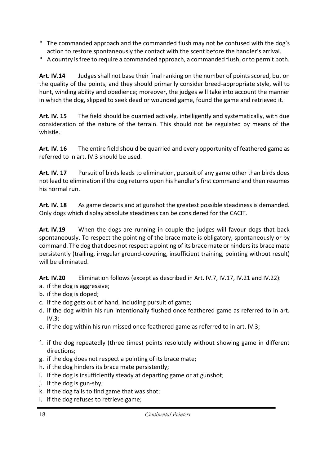- \* The commanded approach and the commanded flush may not be confused with the dog's action to restore spontaneously the contact with the scent before the handler's arrival.
- \* A country is free to require a commanded approach, a commanded flush, or to permit both.

**Art. IV.14** Judges shall not base their final ranking on the number of points scored, but on the quality of the points, and they should primarily consider breed-appropriate style, will to hunt, winding ability and obedience; moreover, the judges will take into account the manner in which the dog, slipped to seek dead or wounded game, found the game and retrieved it.

**Art. IV. 15** The field should be quarried actively, intelligently and systematically, with due consideration of the nature of the terrain. This should not be regulated by means of the whistle.

**Art. IV. 16** The entire field should be quarried and every opportunity of feathered game as referred to in art. IV.3 should be used.

Art. IV. 17 Pursuit of birds leads to elimination, pursuit of any game other than birds does not lead to elimination if the dog returns upon his handler's first command and then resumes his normal run.

Art. IV. 18 As game departs and at gunshot the greatest possible steadiness is demanded. Only dogs which display absolute steadiness can be considered for the CACIT.

**Art. IV.19** When the dogs are running in couple the judges will favour dogs that back spontaneously. To respect the pointing of the brace mate is obligatory, spontaneously or by command. The dog that does not respect a pointing of its brace mate or hinders its brace mate persistently (trailing, irregular ground-covering, insufficient training, pointing without result) will be eliminated.

**Art. IV.20** Elimination follows (except as described in Art. IV.7, IV.17, IV.21 and IV.22):

- a. if the dog is aggressive;
- b. if the dog is doped;
- c. if the dog gets out of hand, including pursuit of game;
- d. if the dog within his run intentionally flushed once feathered game as referred to in art. IV.3;
- e. if the dog within his run missed once feathered game as referred to in art. IV.3;
- f. if the dog repeatedly (three times) points resolutely without showing game in different directions;
- g. if the dog does not respect a pointing of its brace mate;
- h. if the dog hinders its brace mate persistently;
- i. if the dog is insufficiently steady at departing game or at gunshot;
- j. if the dog is gun-shy;
- k. if the dog fails to find game that was shot;
- l. if the dog refuses to retrieve game;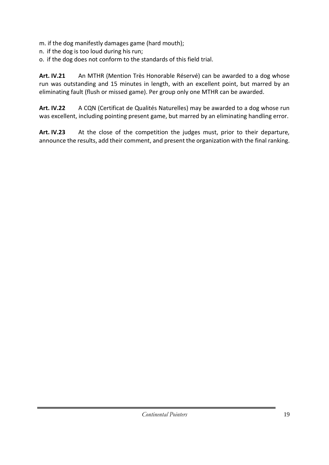m. if the dog manifestly damages game (hard mouth);

- n. if the dog is too loud during his run;
- o. if the dog does not conform to the standards of this field trial.

**Art. IV.21** An MTHR (Mention Très Honorable Réservé) can be awarded to a dog whose run was outstanding and 15 minutes in length, with an excellent point, but marred by an eliminating fault (flush or missed game). Per group only one MTHR can be awarded.

**Art. IV.22** A CQN (Certificat de Qualités Naturelles) may be awarded to a dog whose run was excellent, including pointing present game, but marred by an eliminating handling error.

Art. IV.23 At the close of the competition the judges must, prior to their departure, announce the results, add their comment, and present the organization with the final ranking.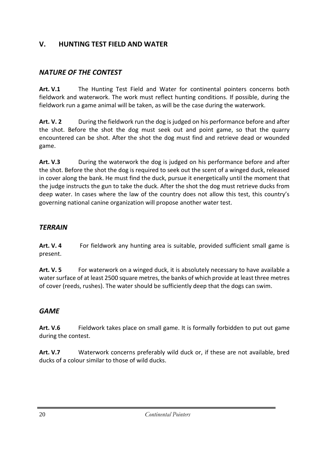# **V. HUNTING TEST FIELD AND WATER**

# *NATURE OF THE CONTEST*

**Art. V.1** The Hunting Test Field and Water for continental pointers concerns both fieldwork and waterwork. The work must reflect hunting conditions. If possible, during the fieldwork run a game animal will be taken, as will be the case during the waterwork.

**Art. V. 2** During the fieldwork run the dog is judged on his performance before and after the shot. Before the shot the dog must seek out and point game, so that the quarry encountered can be shot. After the shot the dog must find and retrieve dead or wounded game.

**Art. V.3** During the waterwork the dog is judged on his performance before and after the shot. Before the shot the dog is required to seek out the scent of a winged duck, released in cover along the bank. He must find the duck, pursue it energetically until the moment that the judge instructs the gun to take the duck. After the shot the dog must retrieve ducks from deep water. In cases where the law of the country does not allow this test, this country's governing national canine organization will propose another water test.

### *TERRAIN*

**Art. V. 4** For fieldwork any hunting area is suitable, provided sufficient small game is present.

Art. V. 5 For waterwork on a winged duck, it is absolutely necessary to have available a water surface of at least 2500 square metres, the banks of which provide at least three metres of cover (reeds, rushes). The water should be sufficiently deep that the dogs can swim.

## *GAME*

**Art. V.6** Fieldwork takes place on small game. It is formally forbidden to put out game during the contest.

**Art. V.7** Waterwork concerns preferably wild duck or, if these are not available, bred ducks of a colour similar to those of wild ducks.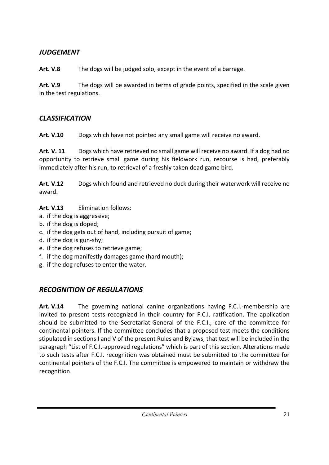# *JUDGEMENT*

**Art. V.8** The dogs will be judged solo, except in the event of a barrage.

**Art. V.9** The dogs will be awarded in terms of grade points, specified in the scale given in the test regulations.

# *CLASSIFICATION*

**Art. V.10** Dogs which have not pointed any small game will receive no award.

**Art. V. 11** Dogs which have retrieved no small game will receive no award. If a dog had no opportunity to retrieve small game during his fieldwork run, recourse is had, preferably immediately after his run, to retrieval of a freshly taken dead game bird.

**Art. V.12** Dogs which found and retrieved no duck during their waterwork will receive no award.

## **Art. V.13** Elimination follows:

- a. if the dog is aggressive;
- b. if the dog is doped;
- c. if the dog gets out of hand, including pursuit of game;
- d. if the dog is gun-shy;
- e. if the dog refuses to retrieve game;
- f. if the dog manifestly damages game (hard mouth);
- g. if the dog refuses to enter the water.

# *RECOGNITION OF REGULATIONS*

**Art. V.14** The governing national canine organizations having F.C.I.-membership are invited to present tests recognized in their country for F.C.I. ratification. The application should be submitted to the Secretariat-General of the F.C.I., care of the committee for continental pointers. If the committee concludes that a proposed test meets the conditions stipulated in sections I and V of the present Rules and Bylaws, that test will be included in the paragraph "List of F.C.I.-approved regulations" which is part of this section. Alterations made to such tests after F.C.I. recognition was obtained must be submitted to the committee for continental pointers of the F.C.I. The committee is empowered to maintain or withdraw the recognition.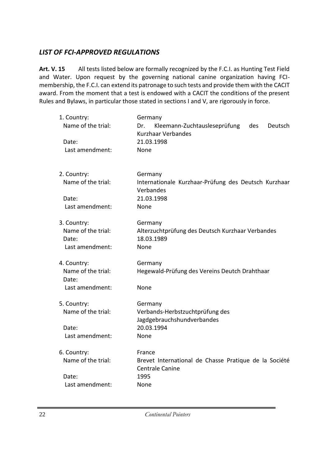# *LIST OF FCI-APPROVED REGULATIONS*

Art. V. 15 All tests listed below are formally recognized by the F.C.I. as Hunting Test Field and Water. Upon request by the governing national canine organization having FCImembership, the F.C.I. can extend its patronage to such tests and provide them with the CACIT award. From the moment that a test is endowed with a CACIT the conditions of the present Rules and Bylaws, in particular those stated in sections I and V, are rigorously in force.

| 1. Country:<br>Name of the trial:<br>Date:<br>Last amendment: | Germany<br>Kleemann-Zuchtausleseprüfung<br>Dr.<br>des<br>Deutsch<br>Kurzhaar Verbandes<br>21.03.1998<br>None |
|---------------------------------------------------------------|--------------------------------------------------------------------------------------------------------------|
| 2. Country:<br>Name of the trial:<br>Date:<br>Last amendment: | Germany<br>Internationale Kurzhaar-Prüfung des Deutsch Kurzhaar<br>Verbandes<br>21.03.1998<br>None           |
| 3. Country:<br>Name of the trial:<br>Date:<br>Last amendment: | Germany<br>Alterzuchtprüfung des Deutsch Kurzhaar Verbandes<br>18.03.1989<br>None                            |
| 4. Country:<br>Name of the trial:<br>Date:<br>Last amendment: | Germany<br>Hegewald-Prüfung des Vereins Deutch Drahthaar<br>None                                             |
| 5. Country:<br>Name of the trial:<br>Date:<br>Last amendment: | Germany<br>Verbands-Herbstzuchtprüfung des<br>Jagdgebrauchshundverbandes<br>20.03.1994<br>None               |
| 6. Country:<br>Name of the trial:<br>Date:<br>Last amendment: | France<br>Brevet International de Chasse Pratique de la Société<br>Centrale Canine<br>1995<br>None           |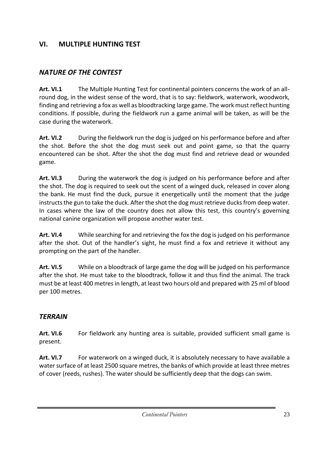# **VI. MULTIPLE HUNTING TEST**

# *NATURE OF THE CONTEST*

**Art. VI.1** The Multiple Hunting Test for continental pointers concerns the work of an allround dog, in the widest sense of the word, that is to say: fieldwork, waterwork, woodwork, finding and retrieving a fox as well as bloodtracking large game. The work must reflect hunting conditions. If possible, during the fieldwork run a game animal will be taken, as will be the case during the waterwork.

**Art. VI.2** During the fieldwork run the dog is judged on his performance before and after the shot. Before the shot the dog must seek out and point game, so that the quarry encountered can be shot. After the shot the dog must find and retrieve dead or wounded game.

**Art. VI.3** During the waterwork the dog is judged on his performance before and after the shot. The dog is required to seek out the scent of a winged duck, released in cover along the bank. He must find the duck, pursue it energetically until the moment that the judge instructs the gun to take the duck. After the shot the dog must retrieve ducks from deep water. In cases where the law of the country does not allow this test, this country's governing national canine organization will propose another water test.

**Art. VI.4** While searching for and retrieving the fox the dog is judged on his performance after the shot. Out of the handler's sight, he must find a fox and retrieve it without any prompting on the part of the handler.

**Art. VI.5** While on a bloodtrack of large game the dog will be judged on his performance after the shot. He must take to the bloodtrack, follow it and thus find the animal. The track must be at least 400 metres in length, at least two hours old and prepared with 25 ml of blood per 100 metres.

## *TERRAIN*

Art. VI.6 For fieldwork any hunting area is suitable, provided sufficient small game is present.

Art. VI.7 For waterwork on a winged duck, it is absolutely necessary to have available a water surface of at least 2500 square metres, the banks of which provide at least three metres of cover (reeds, rushes). The water should be sufficiently deep that the dogs can swim.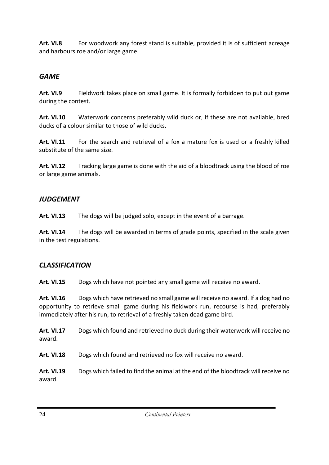Art. VI.8 For woodwork any forest stand is suitable, provided it is of sufficient acreage and harbours roe and/or large game.

# *GAME*

**Art. VI.9** Fieldwork takes place on small game. It is formally forbidden to put out game during the contest.

**Art. VI.10** Waterwork concerns preferably wild duck or, if these are not available, bred ducks of a colour similar to those of wild ducks.

**Art. VI.11** For the search and retrieval of a fox a mature fox is used or a freshly killed substitute of the same size.

Art. VI.12 Tracking large game is done with the aid of a bloodtrack using the blood of roe or large game animals.

## *JUDGEMENT*

**Art. VI.13** The dogs will be judged solo, except in the event of a barrage.

**Art. VI.14** The dogs will be awarded in terms of grade points, specified in the scale given in the test regulations.

# *CLASSIFICATION*

**Art. VI.15** Dogs which have not pointed any small game will receive no award.

**Art. VI.16** Dogs which have retrieved no small game will receive no award. If a dog had no opportunity to retrieve small game during his fieldwork run, recourse is had, preferably immediately after his run, to retrieval of a freshly taken dead game bird.

**Art. VI.17** Dogs which found and retrieved no duck during their waterwork will receive no award.

**Art. VI.18** Dogs which found and retrieved no fox will receive no award.

**Art. VI.19** Dogs which failed to find the animal at the end of the bloodtrack will receive no award.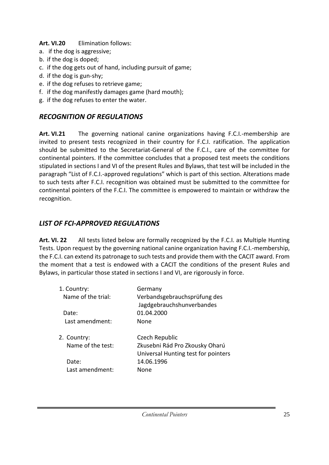#### **Art. VI.20** Elimination follows:

- a. if the dog is aggressive;
- b. if the dog is doped;
- c. if the dog gets out of hand, including pursuit of game;
- d. if the dog is gun-shy;
- e. if the dog refuses to retrieve game;
- f. if the dog manifestly damages game (hard mouth);
- g. if the dog refuses to enter the water.

# *RECOGNITION OF REGULATIONS*

**Art. VI.21** The governing national canine organizations having F.C.I.-membership are invited to present tests recognized in their country for F.C.I. ratification. The application should be submitted to the Secretariat-General of the F.C.I., care of the committee for continental pointers. If the committee concludes that a proposed test meets the conditions stipulated in sections I and VI of the present Rules and Bylaws, that test will be included in the paragraph "List of F.C.I.-approved regulations" which is part of this section. Alterations made to such tests after F.C.I. recognition was obtained must be submitted to the committee for continental pointers of the F.C.I. The committee is empowered to maintain or withdraw the recognition.

# *LIST OF FCI-APPROVED REGULATIONS*

**Art. VI. 22** All tests listed below are formally recognized by the F.C.I. as Multiple Hunting Tests. Upon request by the governing national canine organization having F.C.I.-membership, the F.C.I. can extend its patronage to such tests and provide them with the CACIT award. From the moment that a test is endowed with a CACIT the conditions of the present Rules and Bylaws, in particular those stated in sections I and VI, are rigorously in force.

| 1. Country:<br>Name of the trial:<br>Date:<br>Last amendment: | Germany<br>Verbandsgebrauchsprüfung des<br>Jagdgebrauchshunverbandes<br>01.04.2000<br>None                    |
|---------------------------------------------------------------|---------------------------------------------------------------------------------------------------------------|
| 2. Country:<br>Name of the test:<br>Date:<br>Last amendment:  | Czech Republic<br>Zkusebni Rád Pro Zkousky Oharú<br>Universal Hunting test for pointers<br>14.06.1996<br>None |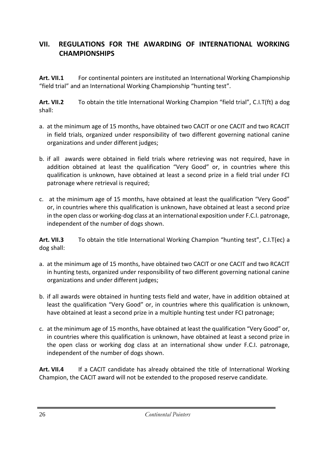# **VII. REGULATIONS FOR THE AWARDING OF INTERNATIONAL WORKING CHAMPIONSHIPS**

**Art. VII.1** For continental pointers are instituted an International Working Championship "field trial" and an International Working Championship "hunting test".

**Art. VII.2** To obtain the title International Working Champion "field trial", C.I.T(ft) a dog shall:

- a. at the minimum age of 15 months, have obtained two CACIT or one CACIT and two RCACIT in field trials, organized under responsibility of two different governing national canine organizations and under different judges;
- b. if all awards were obtained in field trials where retrieving was not required, have in addition obtained at least the qualification "Very Good" or, in countries where this qualification is unknown, have obtained at least a second prize in a field trial under FCI patronage where retrieval is required;
- c. at the minimum age of 15 months, have obtained at least the qualification "Very Good" or, in countries where this qualification is unknown, have obtained at least a second prize in the open class or working-dog class at an international exposition under F.C.I. patronage, independent of the number of dogs shown.

**Art. VII.3** To obtain the title International Working Champion "hunting test", C.I.T(ec) a dog shall:

- a. at the minimum age of 15 months, have obtained two CACIT or one CACIT and two RCACIT in hunting tests, organized under responsibility of two different governing national canine organizations and under different judges;
- b. if all awards were obtained in hunting tests field and water, have in addition obtained at least the qualification "Very Good" or, in countries where this qualification is unknown, have obtained at least a second prize in a multiple hunting test under FCI patronage;
- c. at the minimum age of 15 months, have obtained at least the qualification "Very Good" or, in countries where this qualification is unknown, have obtained at least a second prize in the open class or working dog class at an international show under F.C.I. patronage, independent of the number of dogs shown.

**Art. VII.4** If a CACIT candidate has already obtained the title of International Working Champion, the CACIT award will not be extended to the proposed reserve candidate.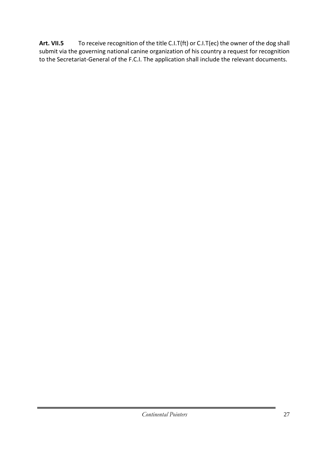**Art. VII.5** To receive recognition of the title C.I.T(ft) or C.I.T(ec) the owner of the dog shall submit via the governing national canine organization of his country a request for recognition to the Secretariat-General of the F.C.I. The application shall include the relevant documents.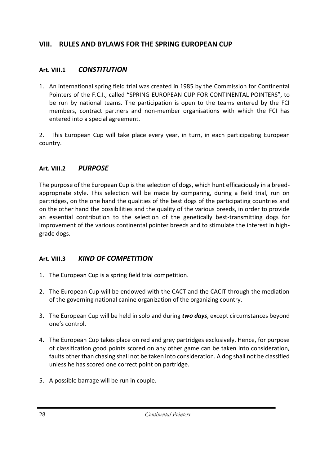# **VIII. RULES AND BYLAWS FOR THE SPRING EUROPEAN CUP**

### **Art. VIII.1** *CONSTITUTION*

1. An international spring field trial was created in 1985 by the Commission for Continental Pointers of the F.C.I., called "SPRING EUROPEAN CUP FOR CONTINENTAL POINTERS", to be run by national teams. The participation is open to the teams entered by the FCI members, contract partners and non-member organisations with which the FCI has entered into a special agreement.

2. This European Cup will take place every year, in turn, in each participating European country.

### **Art. VIII.2** *PURPOSE*

The purpose of the European Cup is the selection of dogs, which hunt efficaciously in a breedappropriate style. This selection will be made by comparing, during a field trial, run on partridges, on the one hand the qualities of the best dogs of the participating countries and on the other hand the possibilities and the quality of the various breeds, in order to provide an essential contribution to the selection of the genetically best-transmitting dogs for improvement of the various continental pointer breeds and to stimulate the interest in highgrade dogs.

## **Art. VIII.3** *KIND OF COMPETITION*

- 1. The European Cup is a spring field trial competition.
- 2. The European Cup will be endowed with the CACT and the CACIT through the mediation of the governing national canine organization of the organizing country.
- 3. The European Cup will be held in solo and during *two days*, except circumstances beyond one's control.
- 4. The European Cup takes place on red and grey partridges exclusively. Hence, for purpose of classification good points scored on any other game can be taken into consideration, faults other than chasing shall not be taken into consideration. A dog shall not be classified unless he has scored one correct point on partridge.
- 5. A possible barrage will be run in couple.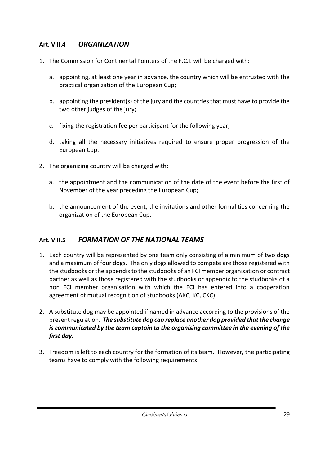#### **Art. VIII.4** *ORGANIZATION*

- 1. The Commission for Continental Pointers of the F.C.I. will be charged with:
	- a. appointing, at least one year in advance, the country which will be entrusted with the practical organization of the European Cup;
	- b. appointing the president(s) of the jury and the countries that must have to provide the two other judges of the jury;
	- c. fixing the registration fee per participant for the following year;
	- d. taking all the necessary initiatives required to ensure proper progression of the European Cup.
- 2. The organizing country will be charged with:
	- a. the appointment and the communication of the date of the event before the first of November of the year preceding the European Cup;
	- b. the announcement of the event, the invitations and other formalities concerning the organization of the European Cup.

## **Art. VIII.5** *FORMATION OF THE NATIONAL TEAMS*

- 1. Each country will be represented by one team only consisting of a minimum of two dogs and a maximum of four dogs. The only dogs allowed to compete are those registered with the studbooks or the appendix to the studbooks of an FCI member organisation or contract partner as well as those registered with the studbooks or appendix to the studbooks of a non FCI member organisation with which the FCI has entered into a cooperation agreement of mutual recognition of studbooks (AKC, KC, CKC).
- 2. A substitute dog may be appointed if named in advance according to the provisions of the present regulation. *The substitute dog can replace another dog provided that the change is communicated by the team captain to the organising committee in the evening of the first day.*
- 3. Freedom is left to each country for the formation of its team**.** However, the participating teams have to comply with the following requirements: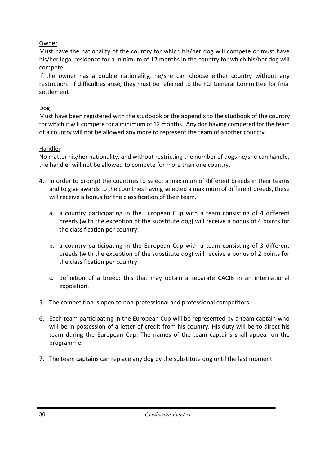#### Owner

Must have the nationality of the country for which his/her dog will compete or must have his/her legal residence for a minimum of 12 months in the country for which his/her dog will compete

If the owner has a double nationality, he/she can choose either country without any restriction. If difficulties arise, they must be referred to the FCI General Committee for final settlement

### Dog

Must have been registered with the studbook or the appendix to the studbook of the country for which it will compete for a minimum of 12 months. Any dog having competed for the team of a country will not be allowed any more to represent the team of another country

### Handler

No matter his/her nationality, and without restricting the number of dogs he/she can handle, the handler will not be allowed to compete for more than one country*.*

- 4. In order to prompt the countries to select a maximum of different breeds in their teams and to give awards to the countries having selected a maximum of different breeds, these will receive a bonus for the classification of their team.
	- a. a country participating in the European Cup with a team consisting of 4 different breeds (with the exception of the substitute dog) will receive a bonus of 4 points for the classification per country;
	- b. a country participating in the European Cup with a team consisting of 3 different breeds (with the exception of the substitute dog) will receive a bonus of 2 points for the classification per country.
	- c. definition of a breed: this that may obtain a separate CACIB in an international exposition.
- 5. The competition is open to non-professional and professional competitors.
- 6. Each team participating in the European Cup will be represented by a team captain who will be in possession of a letter of credit from his country. His duty will be to direct his team during the European Cup. The names of the team captains shall appear on the programme.
- 7. The team captains can replace any dog by the substitute dog until the last moment.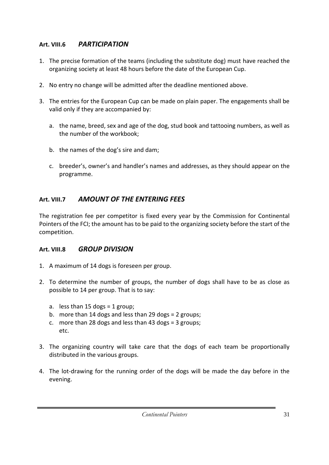### **Art. VIII.6** *PARTICIPATION*

- 1. The precise formation of the teams (including the substitute dog) must have reached the organizing society at least 48 hours before the date of the European Cup.
- 2. No entry no change will be admitted after the deadline mentioned above.
- 3. The entries for the European Cup can be made on plain paper. The engagements shall be valid only if they are accompanied by:
	- a. the name, breed, sex and age of the dog, stud book and tattooing numbers, as well as the number of the workbook;
	- b. the names of the dog's sire and dam;
	- c. breeder's, owner's and handler's names and addresses, as they should appear on the programme.

# **Art. VIII.7** *AMOUNT OF THE ENTERING FEES*

The registration fee per competitor is fixed every year by the Commission for Continental Pointers of the FCI; the amount has to be paid to the organizing society before the start of the competition.

#### **Art. VIII.8** *GROUP DIVISION*

- 1. A maximum of 14 dogs is foreseen per group.
- 2. To determine the number of groups, the number of dogs shall have to be as close as possible to 14 per group. That is to say:
	- a. less than  $15$  dogs = 1 group;
	- b. more than 14 dogs and less than 29 dogs = 2 groups;
	- c. more than 28 dogs and less than 43 dogs = 3 groups; etc.
- 3. The organizing country will take care that the dogs of each team be proportionally distributed in the various groups.
- 4. The lot-drawing for the running order of the dogs will be made the day before in the evening.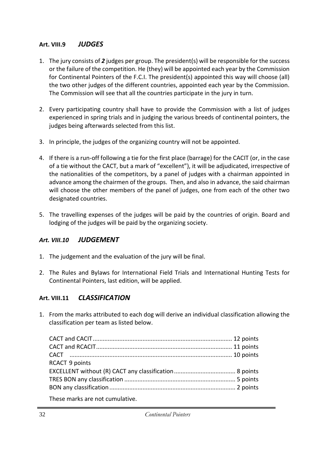#### **Art. VIII.9** *JUDGES*

- 1. The jury consists of *2* judges per group. The president(s) will be responsible for the success or the failure of the competition. He (they) will be appointed each year by the Commission for Continental Pointers of the F.C.I. The president(s) appointed this way will choose (all) the two other judges of the different countries, appointed each year by the Commission. The Commission will see that all the countries participate in the jury in turn.
- 2. Every participating country shall have to provide the Commission with a list of judges experienced in spring trials and in judging the various breeds of continental pointers, the judges being afterwards selected from this list.
- 3. In principle, the judges of the organizing country will not be appointed.
- 4. If there is a run-off following a tie for the first place (barrage) for the CACIT (or, in the case of a tie without the CACT, but a mark of "excellent"), it will be adjudicated, irrespective of the nationalities of the competitors, by a panel of judges with a chairman appointed in advance among the chairmen of the groups. Then, and also in advance, the said chairman will choose the other members of the panel of judges, one from each of the other two designated countries.
- 5. The travelling expenses of the judges will be paid by the countries of origin. Board and lodging of the judges will be paid by the organizing society.

#### *Art. VIII.10 JUDGEMENT*

- 1. The judgement and the evaluation of the jury will be final.
- 2. The Rules and Bylaws for International Field Trials and International Hunting Tests for Continental Pointers, last edition, will be applied.

#### **Art. VIII.11** *CLASSIFICATION*

1. From the marks attributed to each dog will derive an individual classification allowing the classification per team as listed below.

| <b>RCACT 9 points</b> |  |
|-----------------------|--|
|                       |  |
|                       |  |
|                       |  |
|                       |  |

These marks are not cumulative.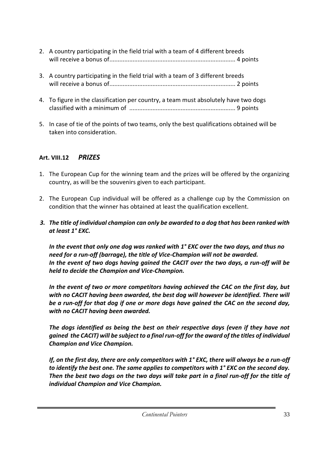- 2. A country participating in the field trial with a team of 4 different breeds will receive a bonus of............................................................................ 4 points
- 3. A country participating in the field trial with a team of 3 different breeds will receive a bonus of............................................................................ 2 points
- 4. To figure in the classification per country, a team must absolutely have two dogs classified with a minimum of ................................................................ 9 points
- 5. In case of tie of the points of two teams, only the best qualifications obtained will be taken into consideration.

# **Art. VIII.12** *PRIZES*

- 1. The European Cup for the winning team and the prizes will be offered by the organizing country, as will be the souvenirs given to each participant.
- 2. The European Cup individual will be offered as a challenge cup by the Commission on condition that the winner has obtained at least the qualification excellent.
- *3. The title of individual champion can only be awarded to a dog that has been ranked with at least 1° EXC.*

*In the event that only one dog was ranked with 1° EXC over the two days, and thus no need for a run-off (barrage), the title of Vice-Champion will not be awarded. In the event of two dogs having gained the CACIT over the two days, a run-off will be held to decide the Champion and Vice-Champion.*

*In the event of two or more competitors having achieved the CAC on the first day, but with no CACIT having been awarded, the best dog will however be identified. There will be a run-off for that dog if one or more dogs have gained the CAC on the second day, with no CACIT having been awarded.*

*The dogs identified as being the best on their respective days (even if they have not gained the CACIT) will be subject to a final run-off for the award of the titles of individual Champion and Vice Champion.*

*If, on the first day, there are only competitors with 1° EXC, there will always be a run-off to identify the best one. The same applies to competitors with 1° EXC on the second day. Then the best two dogs on the two days will take part in a final run-off for the title of individual Champion and Vice Champion.*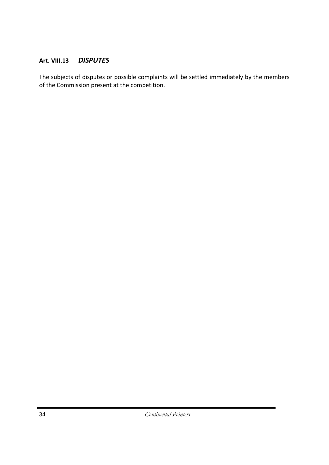#### **Art. VIII.13** *DISPUTES*

The subjects of disputes or possible complaints will be settled immediately by the members of the Commission present at the competition.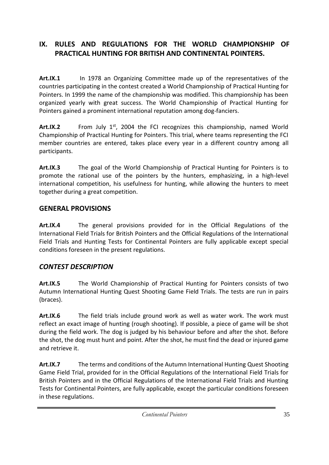# **IX. RULES AND REGULATIONS FOR THE WORLD CHAMPIONSHIP OF PRACTICAL HUNTING FOR BRITISH AND CONTINENTAL POINTERS.**

**Art.IX.1** In 1978 an Organizing Committee made up of the representatives of the countries participating in the contest created a World Championship of Practical Hunting for Pointers. In 1999 the name of the championship was modified. This championship has been organized yearly with great success. The World Championship of Practical Hunting for Pointers gained a prominent international reputation among dog-fanciers.

Art.IX.2 From July 1<sup>st</sup>, 2004 the FCI recognizes this championship, named World Championship of Practical Hunting for Pointers. This trial, where teams representing the FCI member countries are entered, takes place every year in a different country among all participants.

**Art.IX.3** The goal of the World Championship of Practical Hunting for Pointers is to promote the rational use of the pointers by the hunters, emphasizing, in a high-level international competition, his usefulness for hunting, while allowing the hunters to meet together during a great competition.

## **GENERAL PROVISIONS**

**Art.IX.4** The general provisions provided for in the Official Regulations of the International Field Trials for British Pointers and the Official Regulations of the International Field Trials and Hunting Tests for Continental Pointers are fully applicable except special conditions foreseen in the present regulations.

# *CONTEST DESCRIPTION*

**Art.IX.5** The World Championship of Practical Hunting for Pointers consists of two Autumn International Hunting Quest Shooting Game Field Trials. The tests are run in pairs (braces).

**Art.IX.6** The field trials include ground work as well as water work. The work must reflect an exact image of hunting (rough shooting). If possible, a piece of game will be shot during the field work. The dog is judged by his behaviour before and after the shot. Before the shot, the dog must hunt and point. After the shot, he must find the dead or injured game and retrieve it.

**Art.IX.7** The terms and conditions of the Autumn International Hunting Quest Shooting Game Field Trial, provided for in the Official Regulations of the International Field Trials for British Pointers and in the Official Regulations of the International Field Trials and Hunting Tests for Continental Pointers, are fully applicable, except the particular conditions foreseen in these regulations.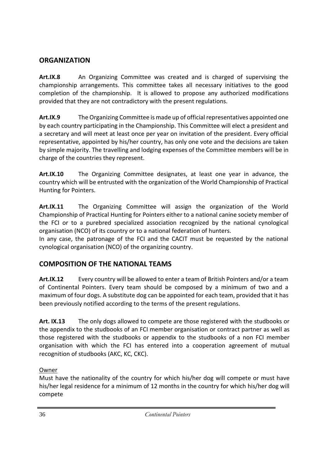## **ORGANIZATION**

**Art.IX.8** An Organizing Committee was created and is charged of supervising the championship arrangements. This committee takes all necessary initiatives to the good completion of the championship. It is allowed to propose any authorized modifications provided that they are not contradictory with the present regulations.

**Art.IX.9** The Organizing Committee is made up of official representatives appointed one by each country participating in the Championship. This Committee will elect a president and a secretary and will meet at least once per year on invitation of the president. Every official representative, appointed by his/her country, has only one vote and the decisions are taken by simple majority. The travelling and lodging expenses of the Committee members will be in charge of the countries they represent.

**Art.IX.10** The Organizing Committee designates, at least one year in advance, the country which will be entrusted with the organization of the World Championship of Practical Hunting for Pointers.

**Art.IX.11** The Organizing Committee will assign the organization of the World Championship of Practical Hunting for Pointers either to a national canine society member of the FCI or to a purebred specialized association recognized by the national cynological organisation (NCO) of its country or to a national federation of hunters.

In any case, the patronage of the FCI and the CACIT must be requested by the national cynological organisation (NCO) of the organizing country.

# **COMPOSITION OF THE NATIONAL TEAMS**

**Art.IX.12** Every country will be allowed to enter a team of British Pointers and/or a team of Continental Pointers. Every team should be composed by a minimum of two and a maximum of four dogs. A substitute dog can be appointed for each team, provided that it has been previously notified according to the terms of the present regulations.

**Art. IX.13** The only dogs allowed to compete are those registered with the studbooks or the appendix to the studbooks of an FCI member organisation or contract partner as well as those registered with the studbooks or appendix to the studbooks of a non FCI member organisation with which the FCI has entered into a cooperation agreement of mutual recognition of studbooks (AKC, KC, CKC).

#### Owner

Must have the nationality of the country for which his/her dog will compete or must have his/her legal residence for a minimum of 12 months in the country for which his/her dog will compete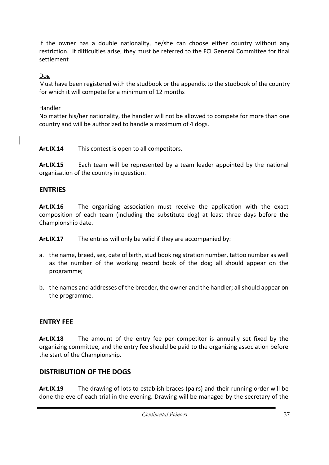If the owner has a double nationality, he/she can choose either country without any restriction. If difficulties arise, they must be referred to the FCI General Committee for final settlement

Dog

Must have been registered with the studbook or the appendix to the studbook of the country for which it will compete for a minimum of 12 months

Handler

No matter his/her nationality, the handler will not be allowed to compete for more than one country and will be authorized to handle a maximum of 4 dogs.

**Art.IX.14** This contest is open to all competitors.

**Art.IX.15** Each team will be represented by a team leader appointed by the national organisation of the country in question.

# **ENTRIES**

**Art.IX.16** The organizing association must receive the application with the exact composition of each team (including the substitute dog) at least three days before the Championship date.

**Art.IX.17** The entries will only be valid if they are accompanied by:

- a. the name, breed, sex, date of birth, stud book registration number, tattoo number as well as the number of the working record book of the dog; all should appear on the programme;
- b. the names and addresses of the breeder, the owner and the handler; all should appear on the programme.

# **ENTRY FEE**

**Art.IX.18** The amount of the entry fee per competitor is annually set fixed by the organizing committee, and the entry fee should be paid to the organizing association before the start of the Championship.

# **DISTRIBUTION OF THE DOGS**

**Art.IX.19** The drawing of lots to establish braces (pairs) and their running order will be done the eve of each trial in the evening. Drawing will be managed by the secretary of the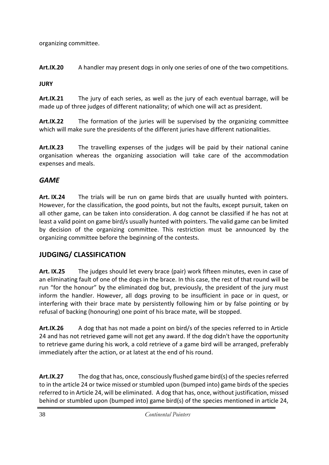organizing committee.

**Art.IX.20** A handler may present dogs in only one series of one of the two competitions.

### **JURY**

**Art.IX.21** The jury of each series, as well as the jury of each eventual barrage, will be made up of three judges of different nationality; of which one will act as president.

**Art.IX.22** The formation of the juries will be supervised by the organizing committee which will make sure the presidents of the different juries have different nationalities.

**Art.IX.23** The travelling expenses of the judges will be paid by their national canine organisation whereas the organizing association will take care of the accommodation expenses and meals.

# *GAME*

**Art. IX.24** The trials will be run on game birds that are usually hunted with pointers. However, for the classification, the good points, but not the faults, except pursuit, taken on all other game, can be taken into consideration. A dog cannot be classified if he has not at least a valid point on game bird/s usually hunted with pointers. The valid game can be limited by decision of the organizing committee. This restriction must be announced by the organizing committee before the beginning of the contests.

# **JUDGING/ CLASSIFICATION**

**Art. IX.25** The judges should let every brace (pair) work fifteen minutes, even in case of an eliminating fault of one of the dogs in the brace. In this case, the rest of that round will be run "for the honour" by the eliminated dog but, previously, the president of the jury must inform the handler. However, all dogs proving to be insufficient in pace or in quest, or interfering with their brace mate by persistently following him or by false pointing or by refusal of backing (honouring) one point of his brace mate, will be stopped.

**Art.IX.26** A dog that has not made a point on bird/s of the species referred to in Article 24 and has not retrieved game will not get any award. If the dog didn't have the opportunity to retrieve game during his work, a cold retrieve of a game bird will be arranged, preferably immediately after the action, or at latest at the end of his round.

**Art.IX.27** The dog that has, once, consciously flushed game bird(s) of the species referred to in the article 24 or twice missed or stumbled upon (bumped into) game birds of the species referred to in Article 24, will be eliminated. A dog that has, once, without justification, missed behind or stumbled upon (bumped into) game bird(s) of the species mentioned in article 24,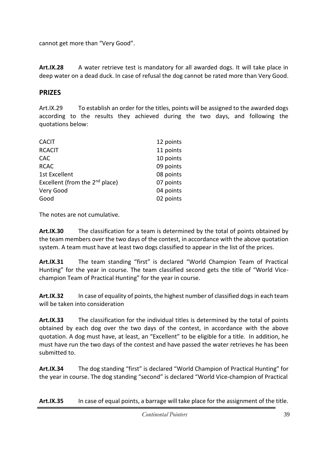cannot get more than "Very Good".

**Art.IX.28** A water retrieve test is mandatory for all awarded dogs. It will take place in deep water on a dead duck. In case of refusal the dog cannot be rated more than Very Good.

# **PRIZES**

Art.IX.29 To establish an order for the titles, points will be assigned to the awarded dogs according to the results they achieved during the two days, and following the quotations below:

| <b>CACIT</b>                        | 12 points |
|-------------------------------------|-----------|
| <b>RCACIT</b>                       | 11 points |
| <b>CAC</b>                          | 10 points |
| <b>RCAC</b>                         | 09 points |
| <b>1st Excellent</b>                | 08 points |
| Excellent (from the $2^{nd}$ place) | 07 points |
| Very Good                           | 04 points |
| Good                                | 02 points |
|                                     |           |

The notes are not cumulative.

**Art.IX.30** The classification for a team is determined by the total of points obtained by the team members over the two days of the contest, in accordance with the above quotation system. A team must have at least two dogs classified to appear in the list of the prices.

**Art.IX.31** The team standing "first" is declared "World Champion Team of Practical Hunting" for the year in course. The team classified second gets the title of "World Vicechampion Team of Practical Hunting" for the year in course.

**Art.IX.32** In case of equality of points, the highest number of classified dogs in each team will be taken into consideration

**Art.IX.33** The classification for the individual titles is determined by the total of points obtained by each dog over the two days of the contest, in accordance with the above quotation. A dog must have, at least, an "Excellent" to be eligible for a title. In addition, he must have run the two days of the contest and have passed the water retrieves he has been submitted to.

**Art.IX.34** The dog standing "first" is declared "World Champion of Practical Hunting" for the year in course. The dog standing "second" is declared "World Vice-champion of Practical

**Art.IX.35** In case of equal points, a barrage will take place for the assignment of the title.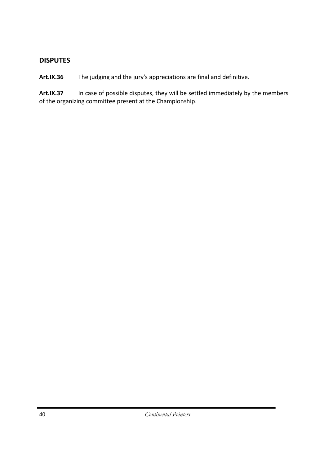#### **DISPUTES**

**Art.IX.36** The judging and the jury's appreciations are final and definitive.

**Art.IX.37** In case of possible disputes, they will be settled immediately by the members of the organizing committee present at the Championship.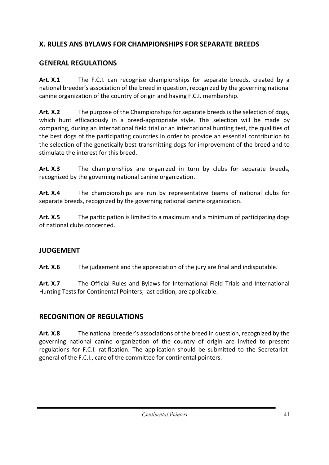# **X. RULES ANS BYLAWS FOR CHAMPIONSHIPS FOR SEPARATE BREEDS**

# **GENERAL REGULATIONS**

**Art. X.1** The F.C.I. can recognise championships for separate breeds, created by a national breeder's association of the breed in question, recognized by the governing national canine organization of the country of origin and having F.C.I. membership.

**Art. X.2** The purpose of the Championships for separate breeds is the selection of dogs, which hunt efficaciously in a breed-appropriate style. This selection will be made by comparing, during an international field trial or an international hunting test, the qualities of the best dogs of the participating countries in order to provide an essential contribution to the selection of the genetically best-transmitting dogs for improvement of the breed and to stimulate the interest for this breed.

**Art. X.3** The championships are organized in turn by clubs for separate breeds, recognized by the governing national canine organization.

**Art. X.4** The championships are run by representative teams of national clubs for separate breeds, recognized by the governing national canine organization.

**Art. X.5** The participation is limited to a maximum and a minimum of participating dogs of national clubs concerned.

## **JUDGEMENT**

**Art. X.6** The judgement and the appreciation of the jury are final and indisputable.

**Art. X.7** The Official Rules and Bylaws for International Field Trials and International Hunting Tests for Continental Pointers, last edition, are applicable.

# **RECOGNITION OF REGULATIONS**

**Art. X.8** The national breeder's associations of the breed in question, recognized by the governing national canine organization of the country of origin are invited to present regulations for F.C.I. ratification. The application should be submitted to the Secretariatgeneral of the F.C.I., care of the committee for continental pointers.